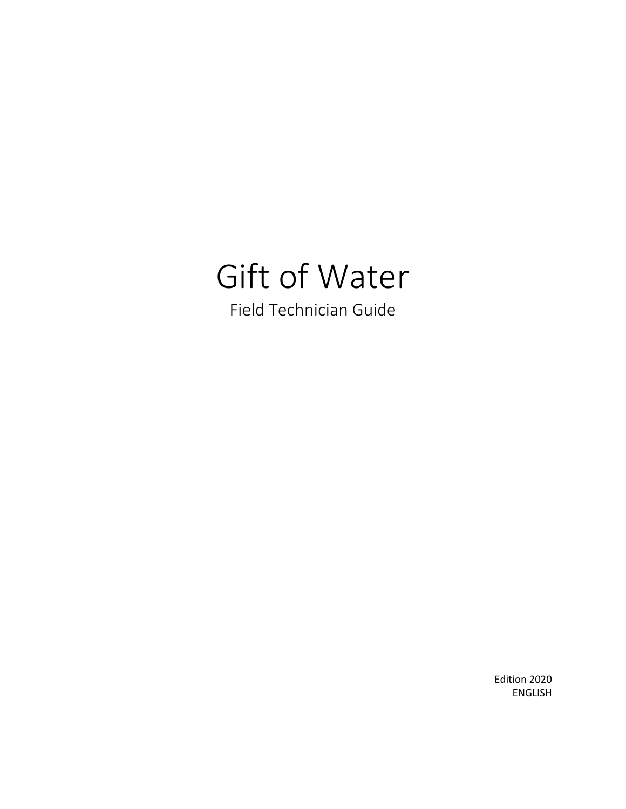# Gift of Water Field Technician Guide

Edition 2020 ENGLISH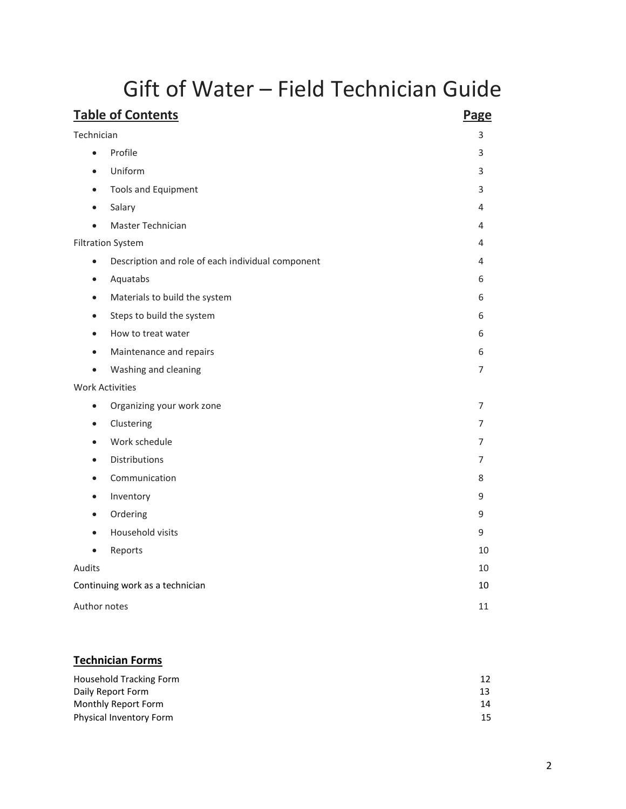## Gift of Water – Field Technician Guide

| <b>Table of Contents</b>                                       | Page |
|----------------------------------------------------------------|------|
| Technician                                                     | 3    |
| Profile<br>$\bullet$                                           | 3    |
| Uniform<br>$\bullet$                                           | 3    |
| <b>Tools and Equipment</b><br>$\bullet$                        | 3    |
| Salary<br>$\bullet$                                            | 4    |
| Master Technician<br>$\bullet$                                 | 4    |
| <b>Filtration System</b>                                       | 4    |
| Description and role of each individual component<br>$\bullet$ | 4    |
| Aquatabs<br>$\bullet$                                          | 6    |
| Materials to build the system<br>$\bullet$                     | 6    |
| Steps to build the system<br>$\bullet$                         | 6    |
| How to treat water                                             | 6    |
| Maintenance and repairs<br>$\bullet$                           | 6    |
| Washing and cleaning<br>$\bullet$                              | 7    |
| <b>Work Activities</b>                                         |      |
| Organizing your work zone<br>$\bullet$                         | 7    |
| Clustering<br>$\bullet$                                        | 7    |
| Work schedule<br>$\bullet$                                     | 7    |
| Distributions                                                  | 7    |
| Communication<br>$\bullet$                                     | 8    |
| Inventory<br>$\bullet$                                         | 9    |
| Ordering<br>$\bullet$                                          | 9    |
| Household visits<br>$\bullet$                                  | 9    |
| Reports<br>$\bullet$                                           | 10   |
| Audits                                                         | 10   |
| Continuing work as a technician                                | 10   |
| Author notes                                                   | 11   |
|                                                                |      |

### **Technician Forms**

| Household Tracking Form |    |
|-------------------------|----|
| Daily Report Form       |    |
| Monthly Report Form     | 14 |
| Physical Inventory Form | 15 |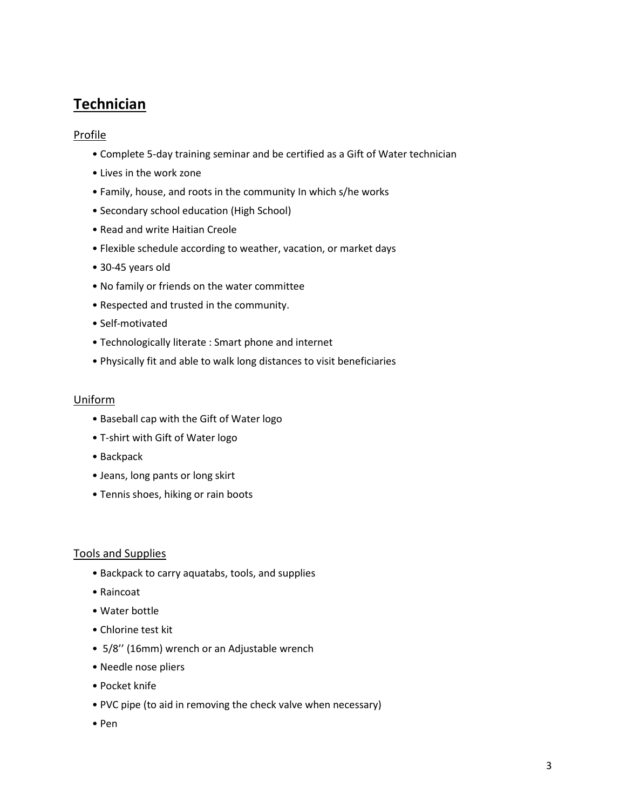## **Technician**

#### **Profile**

- Complete 5-day training seminar and be certified as a Gift of Water technician
- Lives in the work zone
- Family, house, and roots in the community In which s/he works
- Secondary school education (High School)
- Read and write Haitian Creole
- Flexible schedule according to weather, vacation, or market days
- 30-45 years old
- No family or friends on the water committee
- Respected and trusted in the community.
- Self-motivated
- Technologically literate : Smart phone and internet
- Physically fit and able to walk long distances to visit beneficiaries

#### Uniform

- Baseball cap with the Gift of Water logo
- T-shirt with Gift of Water logo
- Backpack
- Jeans, long pants or long skirt
- Tennis shoes, hiking or rain boots

#### Tools and Supplies

- Backpack to carry aquatabs, tools, and supplies
- Raincoat
- Water bottle
- Chlorine test kit
- 5/8'' (16mm) wrench or an Adjustable wrench
- Needle nose pliers
- Pocket knife
- PVC pipe (to aid in removing the check valve when necessary)
- Pen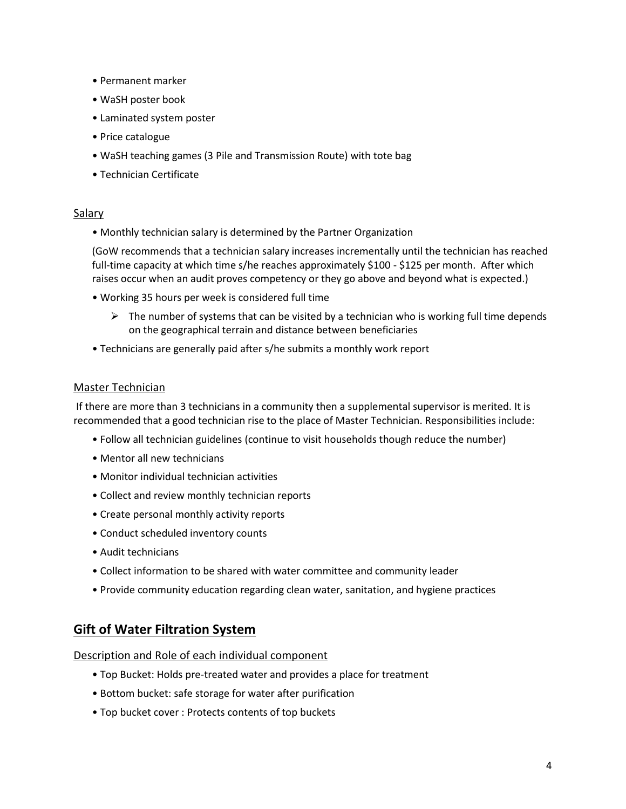- Permanent marker
- WaSH poster book
- Laminated system poster
- Price catalogue
- WaSH teaching games (3 Pile and Transmission Route) with tote bag
- Technician Certificate

#### Salary

• Monthly technician salary is determined by the Partner Organization

(GoW recommends that a technician salary increases incrementally until the technician has reached full-time capacity at which time s/he reaches approximately \$100 - \$125 per month. After which raises occur when an audit proves competency or they go above and beyond what is expected.)

- Working 35 hours per week is considered full time
	- $\triangleright$  The number of systems that can be visited by a technician who is working full time depends on the geographical terrain and distance between beneficiaries
- Technicians are generally paid after s/he submits a monthly work report

#### Master Technician

If there are more than 3 technicians in a community then a supplemental supervisor is merited. It is recommended that a good technician rise to the place of Master Technician. Responsibilities include:

- Follow all technician guidelines (continue to visit households though reduce the number)
- Mentor all new technicians
- Monitor individual technician activities
- Collect and review monthly technician reports
- Create personal monthly activity reports
- Conduct scheduled inventory counts
- Audit technicians
- Collect information to be shared with water committee and community leader
- Provide community education regarding clean water, sanitation, and hygiene practices

#### **Gift of Water Filtration System**

Description and Role of each individual component

- Top Bucket: Holds pre-treated water and provides a place for treatment
- Bottom bucket: safe storage for water after purification
- Top bucket cover : Protects contents of top buckets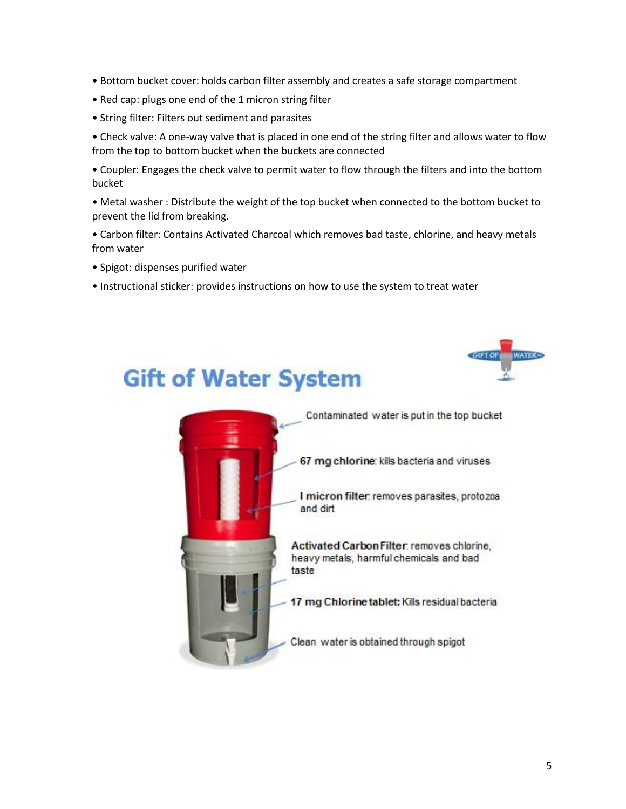- Bottom bucket cover: holds carbon filter assembly and creates a safe storage compartment
- Red cap: plugs one end of the 1 micron string filter
- String filter: Filters out sediment and parasites

• Check valve: A one-way valve that is placed in one end of the string filter and allows water to flow from the top to bottom bucket when the buckets are connected

• Coupler: Engages the check valve to permit water to flow through the filters and into the bottom bucket

• Metal washer : Distribute the weight of the top bucket when connected to the bottom bucket to prevent the lid from breaking.

• Carbon filter: Contains Activated Charcoal which removes bad taste, chlorine, and heavy metals from water

- Spigot: dispenses purified water
- Instructional sticker: provides instructions on how to use the system to treat water

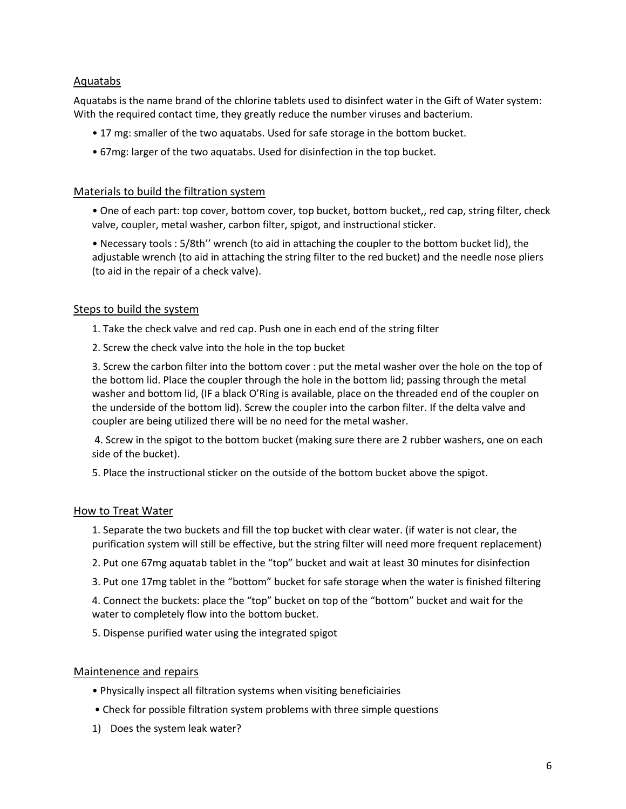#### Aquatabs

Aquatabs is the name brand of the chlorine tablets used to disinfect water in the Gift of Water system: With the required contact time, they greatly reduce the number viruses and bacterium.

- 17 mg: smaller of the two aquatabs. Used for safe storage in the bottom bucket.
- 67mg: larger of the two aquatabs. Used for disinfection in the top bucket.

#### Materials to build the filtration system

• One of each part: top cover, bottom cover, top bucket, bottom bucket,, red cap, string filter, check valve, coupler, metal washer, carbon filter, spigot, and instructional sticker.

• Necessary tools : 5/8th'' wrench (to aid in attaching the coupler to the bottom bucket lid), the adjustable wrench (to aid in attaching the string filter to the red bucket) and the needle nose pliers (to aid in the repair of a check valve).

#### Steps to build the system

1. Take the check valve and red cap. Push one in each end of the string filter

2. Screw the check valve into the hole in the top bucket

3. Screw the carbon filter into the bottom cover : put the metal washer over the hole on the top of the bottom lid. Place the coupler through the hole in the bottom lid; passing through the metal washer and bottom lid, (IF a black O'Ring is available, place on the threaded end of the coupler on the underside of the bottom lid). Screw the coupler into the carbon filter. If the delta valve and coupler are being utilized there will be no need for the metal washer.

4. Screw in the spigot to the bottom bucket (making sure there are 2 rubber washers, one on each side of the bucket).

5. Place the instructional sticker on the outside of the bottom bucket above the spigot.

#### How to Treat Water

1. Separate the two buckets and fill the top bucket with clear water. (if water is not clear, the purification system will still be effective, but the string filter will need more frequent replacement)

2. Put one 67mg aquatab tablet in the "top" bucket and wait at least 30 minutes for disinfection

3. Put one 17mg tablet in the "bottom" bucket for safe storage when the water is finished filtering

4. Connect the buckets: place the "top" bucket on top of the "bottom" bucket and wait for the water to completely flow into the bottom bucket.

5. Dispense purified water using the integrated spigot

#### Maintenence and repairs

- Physically inspect all filtration systems when visiting beneficiairies
- Check for possible filtration system problems with three simple questions
- 1) Does the system leak water?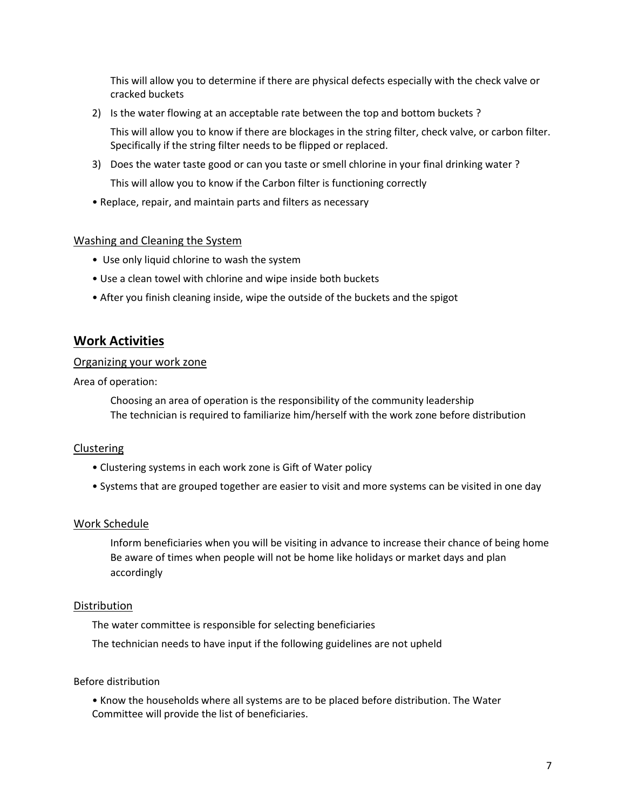This will allow you to determine if there are physical defects especially with the check valve or cracked buckets

2) Is the water flowing at an acceptable rate between the top and bottom buckets ?

This will allow you to know if there are blockages in the string filter, check valve, or carbon filter. Specifically if the string filter needs to be flipped or replaced.

- 3) Does the water taste good or can you taste or smell chlorine in your final drinking water ? This will allow you to know if the Carbon filter is functioning correctly
- Replace, repair, and maintain parts and filters as necessary

#### Washing and Cleaning the System

- Use only liquid chlorine to wash the system
- Use a clean towel with chlorine and wipe inside both buckets
- After you finish cleaning inside, wipe the outside of the buckets and the spigot

#### **Work Activities**

#### Organizing your work zone

Area of operation:

Choosing an area of operation is the responsibility of the community leadership The technician is required to familiarize him/herself with the work zone before distribution

#### Clustering

- Clustering systems in each work zone is Gift of Water policy
- Systems that are grouped together are easier to visit and more systems can be visited in one day

#### Work Schedule

Inform beneficiaries when you will be visiting in advance to increase their chance of being home Be aware of times when people will not be home like holidays or market days and plan accordingly

#### Distribution

The water committee is responsible for selecting beneficiaries

The technician needs to have input if the following guidelines are not upheld

#### Before distribution

• Know the households where all systems are to be placed before distribution. The Water Committee will provide the list of beneficiaries.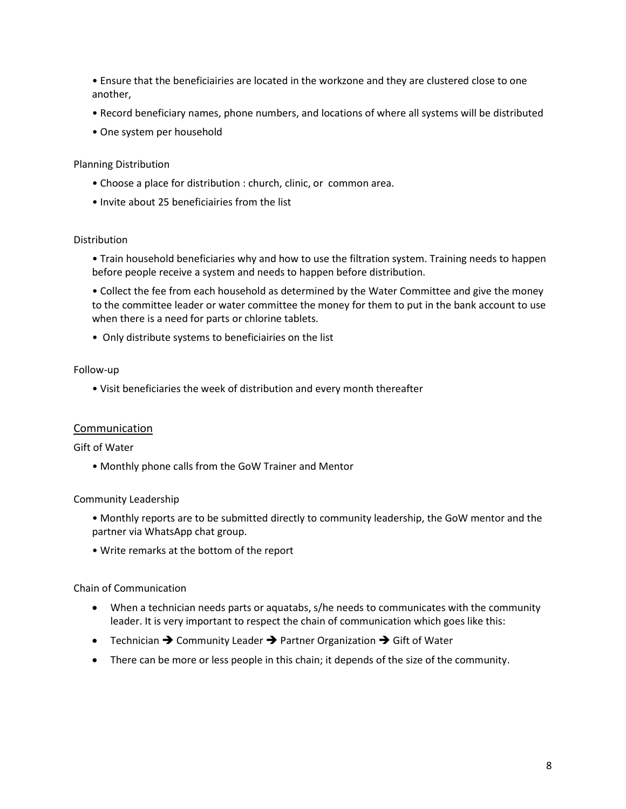• Ensure that the beneficiairies are located in the workzone and they are clustered close to one another,

- Record beneficiary names, phone numbers, and locations of where all systems will be distributed
- One system per household

#### Planning Distribution

- Choose a place for distribution : church, clinic, or common area.
- Invite about 25 beneficiairies from the list

#### Distribution

• Train household beneficiaries why and how to use the filtration system. Training needs to happen before people receive a system and needs to happen before distribution.

• Collect the fee from each household as determined by the Water Committee and give the money to the committee leader or water committee the money for them to put in the bank account to use when there is a need for parts or chlorine tablets.

• Only distribute systems to beneficiairies on the list

#### Follow-up

• Visit beneficiaries the week of distribution and every month thereafter

#### Communication

#### Gift of Water

• Monthly phone calls from the GoW Trainer and Mentor

#### Community Leadership

- Monthly reports are to be submitted directly to community leadership, the GoW mentor and the partner via WhatsApp chat group.
- Write remarks at the bottom of the report

#### Chain of Communication

- When a technician needs parts or aquatabs, s/he needs to communicates with the community leader. It is very important to respect the chain of communication which goes like this:
- Technician ➔ Community Leader ➔ Partner Organization ➔ Gift of Water
- There can be more or less people in this chain; it depends of the size of the community.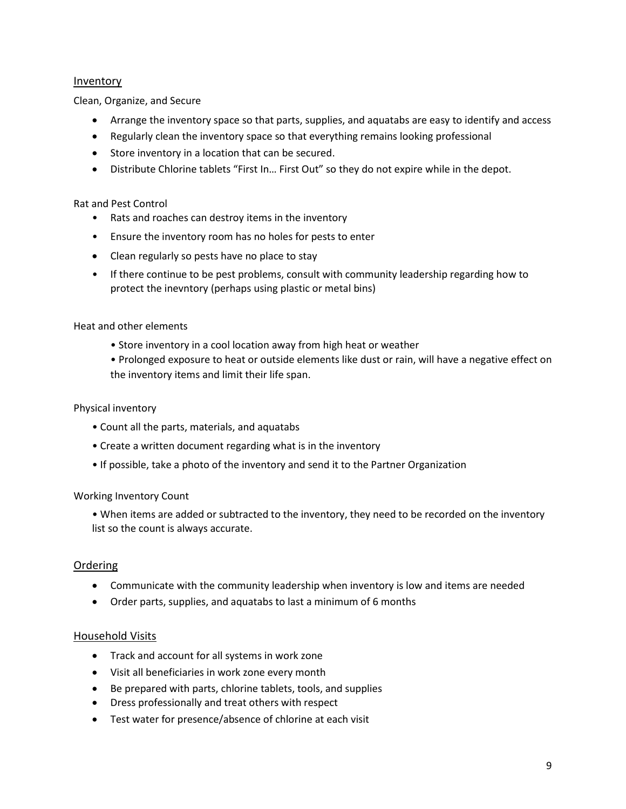#### Inventory

Clean, Organize, and Secure

- Arrange the inventory space so that parts, supplies, and aquatabs are easy to identify and access
- Regularly clean the inventory space so that everything remains looking professional
- Store inventory in a location that can be secured.
- Distribute Chlorine tablets "First In… First Out" so they do not expire while in the depot.

#### Rat and Pest Control

- Rats and roaches can destroy items in the inventory
- Ensure the inventory room has no holes for pests to enter
- Clean regularly so pests have no place to stay
- If there continue to be pest problems, consult with community leadership regarding how to protect the inevntory (perhaps using plastic or metal bins)

#### Heat and other elements

- Store inventory in a cool location away from high heat or weather
- Prolonged exposure to heat or outside elements like dust or rain, will have a negative effect on the inventory items and limit their life span.

#### Physical inventory

- Count all the parts, materials, and aquatabs
- Create a written document regarding what is in the inventory
- If possible, take a photo of the inventory and send it to the Partner Organization

#### Working Inventory Count

• When items are added or subtracted to the inventory, they need to be recorded on the inventory list so the count is always accurate.

#### Ordering

- Communicate with the community leadership when inventory is low and items are needed
- Order parts, supplies, and aquatabs to last a minimum of 6 months

#### Household Visits

- Track and account for all systems in work zone
- Visit all beneficiaries in work zone every month
- Be prepared with parts, chlorine tablets, tools, and supplies
- Dress professionally and treat others with respect
- Test water for presence/absence of chlorine at each visit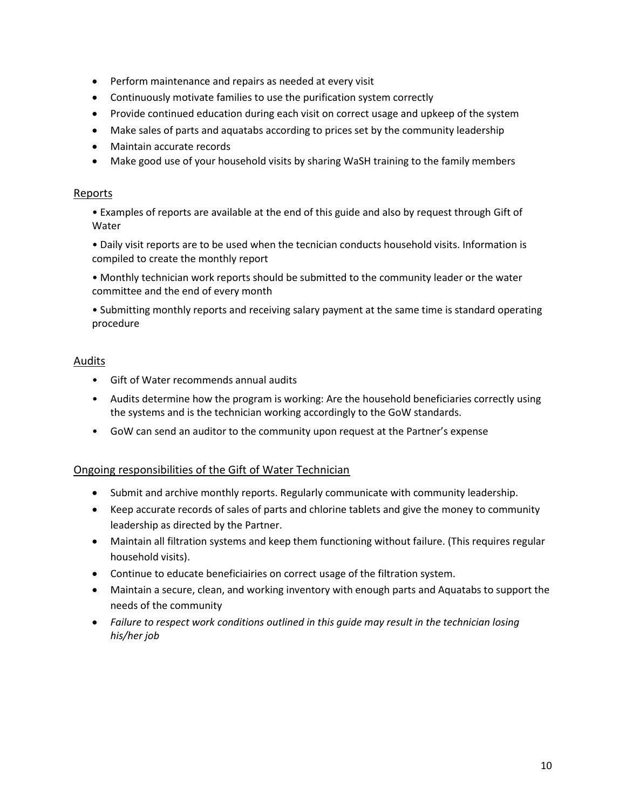- Perform maintenance and repairs as needed at every visit
- Continuously motivate families to use the purification system correctly
- Provide continued education during each visit on correct usage and upkeep of the system
- Make sales of parts and aquatabs according to prices set by the community leadership
- Maintain accurate records
- Make good use of your household visits by sharing WaSH training to the family members

#### Reports

• Examples of reports are available at the end of this guide and also by request through Gift of Water

• Daily visit reports are to be used when the tecnician conducts household visits. Information is compiled to create the monthly report

• Monthly technician work reports should be submitted to the community leader or the water committee and the end of every month

• Submitting monthly reports and receiving salary payment at the same time is standard operating procedure

#### Audits

- Gift of Water recommends annual audits
- Audits determine how the program is working: Are the household beneficiaries correctly using the systems and is the technician working accordingly to the GoW standards.
- GoW can send an auditor to the community upon request at the Partner's expense

#### Ongoing responsibilities of the Gift of Water Technician

- Submit and archive monthly reports. Regularly communicate with community leadership.
- Keep accurate records of sales of parts and chlorine tablets and give the money to community leadership as directed by the Partner.
- Maintain all filtration systems and keep them functioning without failure. (This requires regular household visits).
- Continue to educate beneficiairies on correct usage of the filtration system.
- Maintain a secure, clean, and working inventory with enough parts and Aquatabs to support the needs of the community
- *Failure to respect work conditions outlined in this guide may result in the technician losing his/her job*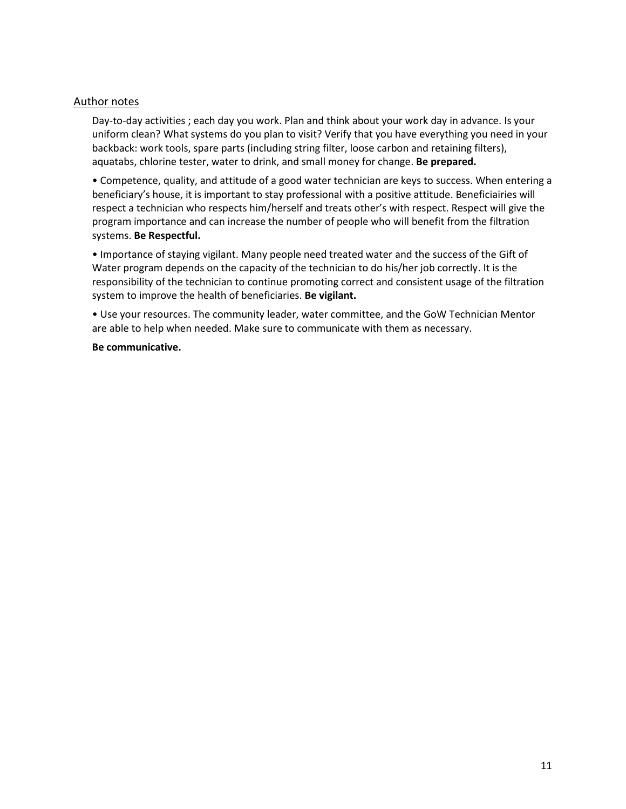#### Author notes

Day-to-day activities ; each day you work. Plan and think about your work day in advance. Is your uniform clean? What systems do you plan to visit? Verify that you have everything you need in your backback: work tools, spare parts (including string filter, loose carbon and retaining filters), aquatabs, chlorine tester, water to drink, and small money for change. **Be prepared.**

• Competence, quality, and attitude of a good water technician are keys to success. When entering a beneficiary's house, it is important to stay professional with a positive attitude. Beneficiairies will respect a technician who respects him/herself and treats other's with respect. Respect will give the program importance and can increase the number of people who will benefit from the filtration systems. **Be Respectful.**

• Importance of staying vigilant. Many people need treated water and the success of the Gift of Water program depends on the capacity of the technician to do his/her job correctly. It is the responsibility of the technician to continue promoting correct and consistent usage of the filtration system to improve the health of beneficiaries. **Be vigilant.**

• Use your resources. The community leader, water committee, and the GoW Technician Mentor are able to help when needed. Make sure to communicate with them as necessary.

#### **Be communicative.**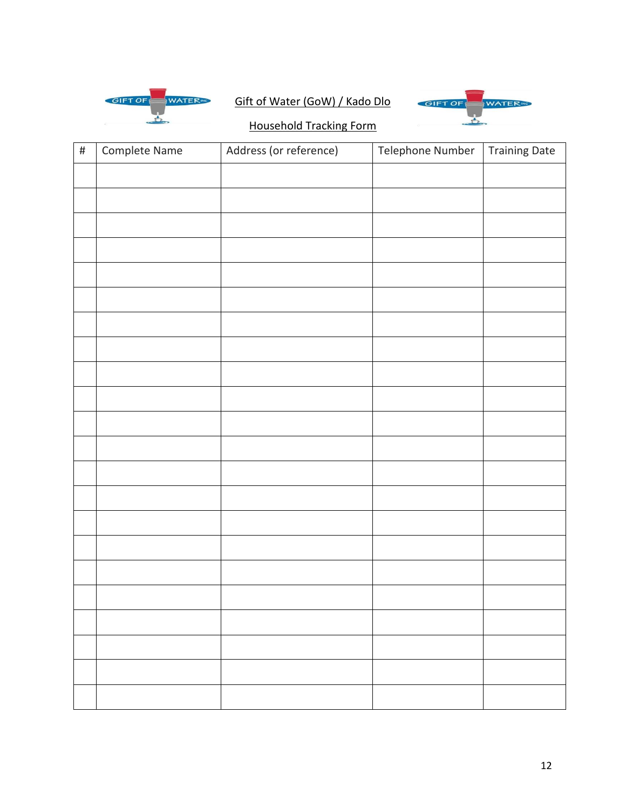

## Gift of Water (GoW) / Kado Dlo



### Household Tracking Form

| $\#$ | Complete Name | Address (or reference) | Telephone Number | <b>Training Date</b> |
|------|---------------|------------------------|------------------|----------------------|
|      |               |                        |                  |                      |
|      |               |                        |                  |                      |
|      |               |                        |                  |                      |
|      |               |                        |                  |                      |
|      |               |                        |                  |                      |
|      |               |                        |                  |                      |
|      |               |                        |                  |                      |
|      |               |                        |                  |                      |
|      |               |                        |                  |                      |
|      |               |                        |                  |                      |
|      |               |                        |                  |                      |
|      |               |                        |                  |                      |
|      |               |                        |                  |                      |
|      |               |                        |                  |                      |
|      |               |                        |                  |                      |
|      |               |                        |                  |                      |
|      |               |                        |                  |                      |
|      |               |                        |                  |                      |
|      |               |                        |                  |                      |
|      |               |                        |                  |                      |
|      |               |                        |                  |                      |
|      |               |                        |                  |                      |
|      |               |                        |                  |                      |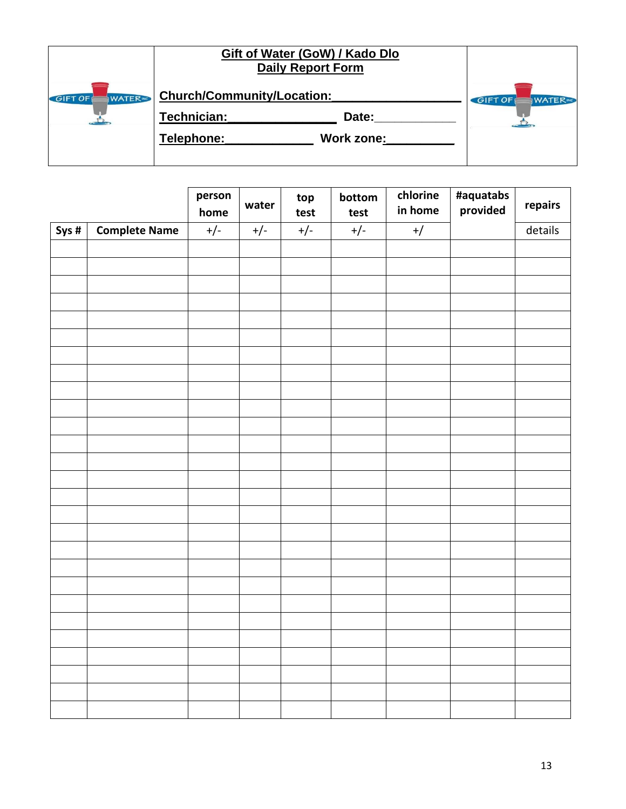|                                               | Gift of Water (GoW) / Kado Dlo<br><b>Daily Report Form</b>                     |                                    |
|-----------------------------------------------|--------------------------------------------------------------------------------|------------------------------------|
| <b>WATER</b> <sub>INC</sub><br><b>GIFT OF</b> | Church/Community/Location:<br>Technician:<br>Date:<br>Work zone:<br>Telephone: | <b>GIFT OF</b><br><b>WATER</b> ING |
|                                               |                                                                                |                                    |

|      |                      | person<br>home | water | top<br>test | bottom<br>test | chlorine<br>in home | #aquatabs<br>provided | repairs |
|------|----------------------|----------------|-------|-------------|----------------|---------------------|-----------------------|---------|
| Sys# | <b>Complete Name</b> | $+/-$          | $+/-$ | $+/-$       | $+/-$          | $+$ /               |                       | details |
|      |                      |                |       |             |                |                     |                       |         |
|      |                      |                |       |             |                |                     |                       |         |
|      |                      |                |       |             |                |                     |                       |         |
|      |                      |                |       |             |                |                     |                       |         |
|      |                      |                |       |             |                |                     |                       |         |
|      |                      |                |       |             |                |                     |                       |         |
|      |                      |                |       |             |                |                     |                       |         |
|      |                      |                |       |             |                |                     |                       |         |
|      |                      |                |       |             |                |                     |                       |         |
|      |                      |                |       |             |                |                     |                       |         |
|      |                      |                |       |             |                |                     |                       |         |
|      |                      |                |       |             |                |                     |                       |         |
|      |                      |                |       |             |                |                     |                       |         |
|      |                      |                |       |             |                |                     |                       |         |
|      |                      |                |       |             |                |                     |                       |         |
|      |                      |                |       |             |                |                     |                       |         |
|      |                      |                |       |             |                |                     |                       |         |
|      |                      |                |       |             |                |                     |                       |         |
|      |                      |                |       |             |                |                     |                       |         |
|      |                      |                |       |             |                |                     |                       |         |
|      |                      |                |       |             |                |                     |                       |         |
|      |                      |                |       |             |                |                     |                       |         |
|      |                      |                |       |             |                |                     |                       |         |
|      |                      |                |       |             |                |                     |                       |         |
|      |                      |                |       |             |                |                     |                       |         |
|      |                      |                |       |             |                |                     |                       |         |
|      |                      |                |       |             |                |                     |                       |         |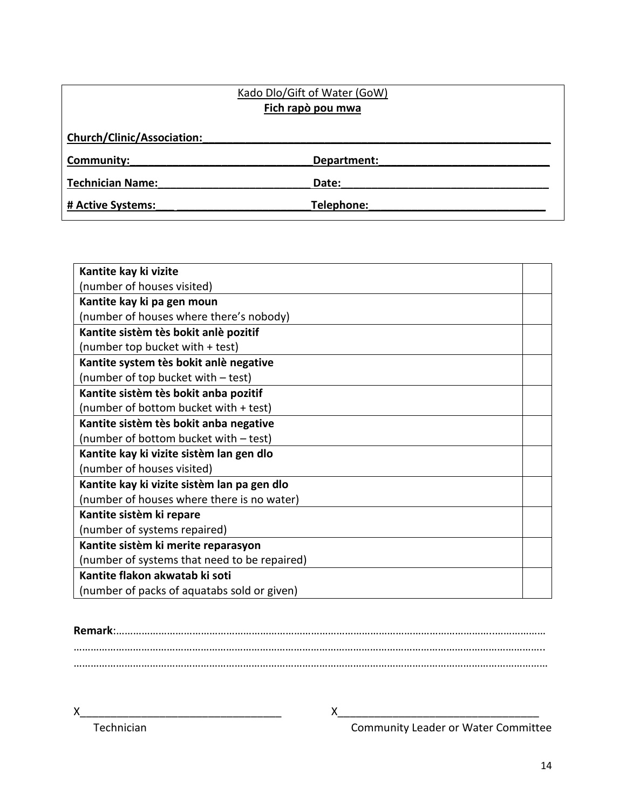| Kado Dlo/Gift of Water (GoW) |             |  |  |  |
|------------------------------|-------------|--|--|--|
| Fich rapò pou mwa            |             |  |  |  |
| Church/Clinic/Association:   |             |  |  |  |
| Community:                   | Department: |  |  |  |
| <b>Technician Name:</b>      | Date:       |  |  |  |
| # Active Systems:            | Telephone:  |  |  |  |

| Kantite kay ki vizite                        |  |
|----------------------------------------------|--|
| (number of houses visited)                   |  |
| Kantite kay ki pa gen moun                   |  |
| (number of houses where there's nobody)      |  |
| Kantite sistèm tès bokit anlè pozitif        |  |
| (number top bucket with + test)              |  |
| Kantite system tès bokit anlè negative       |  |
| (number of top bucket with - test)           |  |
| Kantite sistèm tès bokit anba pozitif        |  |
| (number of bottom bucket with + test)        |  |
| Kantite sistèm tès bokit anba negative       |  |
| (number of bottom bucket with - test)        |  |
| Kantite kay ki vizite sistèm lan gen dlo     |  |
| (number of houses visited)                   |  |
| Kantite kay ki vizite sistèm lan pa gen dlo  |  |
| (number of houses where there is no water)   |  |
| Kantite sistèm ki repare                     |  |
| (number of systems repaired)                 |  |
| Kantite sistèm ki merite reparasyon          |  |
| (number of systems that need to be repaired) |  |
| Kantite flakon akwatab ki soti               |  |
| (number of packs of aquatabs sold or given)  |  |

X<br>Technician Technician Community Leader or Water Committe Technician Community Leader or Water Committee